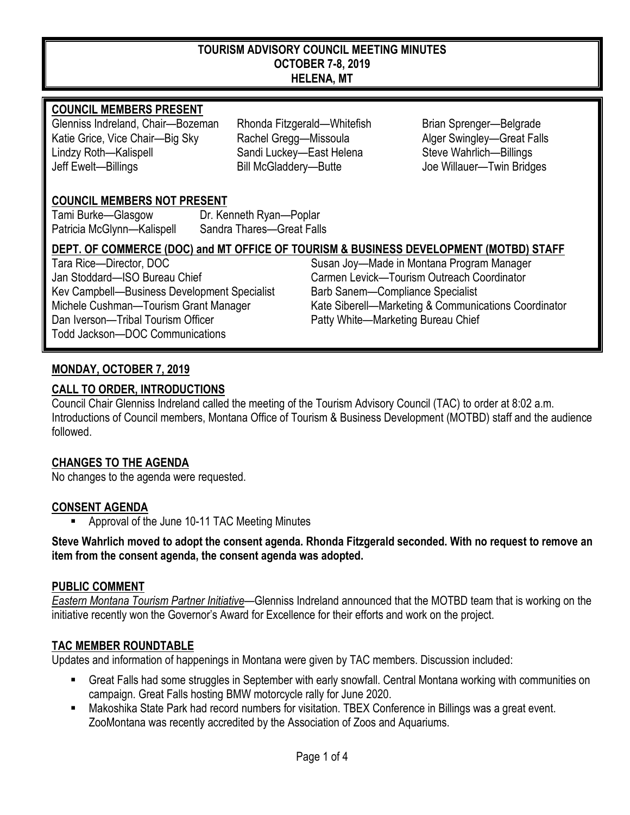#### **TOURISM ADVISORY COUNCIL MEETING MINUTES OCTOBER 7-8, 2019 HELENA, MT**

#### **COUNCIL MEMBERS PRESENT**

Glenniss Indreland, Chair—Bozeman Rhonda Fitzgerald—Whitefish Brian Sprenger—Belgrade Katie Grice, Vice Chair—Big Sky Rachel Gregg—Missoula Alger Swingley—Great Falls Lindzy Roth—Kalispell Sandi Luckey—East Helena Steve Wahrlich—Billings Jeff Ewelt—Billings Bill McGladdery—Butte Joe Willauer—Twin Bridges

## **COUNCIL MEMBERS NOT PRESENT**

Tami Burke—Glasgow Dr. Kenneth Ryan—Poplar Patricia McGlynn—Kalispell Sandra Thares—Great Falls

## **DEPT. OF COMMERCE (DOC) and MT OFFICE OF TOURISM & BUSINESS DEVELOPMENT (MOTBD) STAFF**

Tara Rice—Director, DOC **Susan Joy—Made in Montana Program Manager** Susan Joy—Made in Montana Program Manager Jan Stoddard—ISO Bureau Chief Carmen Levick—Tourism Outreach Coordinator Kev Campbell—Business Development Specialist Barb Sanem—Compliance Specialist Dan Iverson—Tribal Tourism Officer Patty White—Marketing Bureau Chief Todd Jackson—DOC Communications

# Michele Cushman—Tourism Grant Manager Kate Siberell—Marketing & Communications Coordinator

## **MONDAY, OCTOBER 7, 2019**

## **CALL TO ORDER, INTRODUCTIONS**

Council Chair Glenniss Indreland called the meeting of the Tourism Advisory Council (TAC) to order at 8:02 a.m. Introductions of Council members, Montana Office of Tourism & Business Development (MOTBD) staff and the audience followed.

## **CHANGES TO THE AGENDA**

No changes to the agenda were requested.

#### **CONSENT AGENDA**

Approval of the June 10-11 TAC Meeting Minutes

**Steve Wahrlich moved to adopt the consent agenda. Rhonda Fitzgerald seconded. With no request to remove an item from the consent agenda, the consent agenda was adopted.**

#### **PUBLIC COMMENT**

*Eastern Montana Tourism Partner Initiative*—Glenniss Indreland announced that the MOTBD team that is working on the initiative recently won the Governor's Award for Excellence for their efforts and work on the project.

#### **TAC MEMBER ROUNDTABLE**

Updates and information of happenings in Montana were given by TAC members. Discussion included:

- Great Falls had some struggles in September with early snowfall. Central Montana working with communities on campaign. Great Falls hosting BMW motorcycle rally for June 2020.
- Makoshika State Park had record numbers for visitation. TBEX Conference in Billings was a great event. ZooMontana was recently accredited by the Association of Zoos and Aquariums.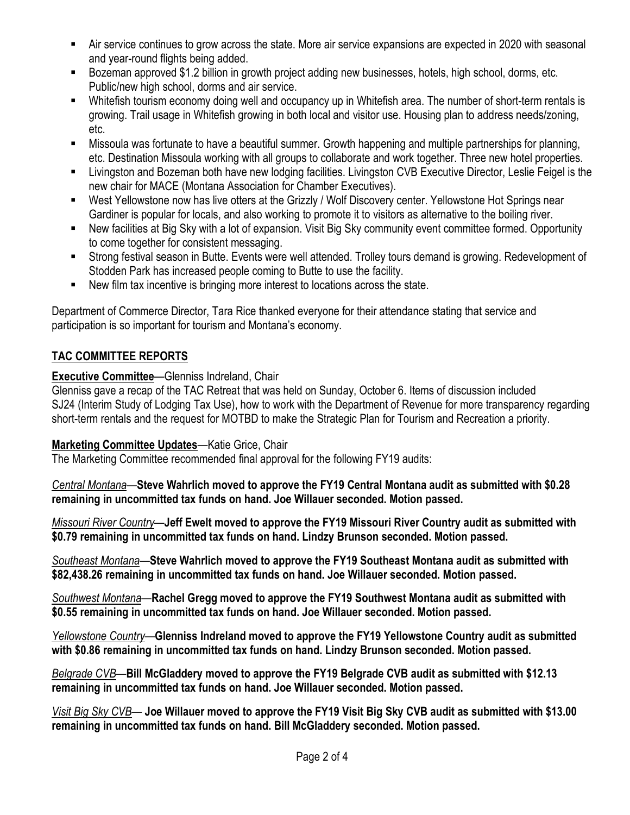- Air service continues to grow across the state. More air service expansions are expected in 2020 with seasonal and year-round flights being added.
- Bozeman approved \$1.2 billion in growth project adding new businesses, hotels, high school, dorms, etc. Public/new high school, dorms and air service.
- Whitefish tourism economy doing well and occupancy up in Whitefish area. The number of short-term rentals is growing. Trail usage in Whitefish growing in both local and visitor use. Housing plan to address needs/zoning, etc.
- Missoula was fortunate to have a beautiful summer. Growth happening and multiple partnerships for planning, etc. Destination Missoula working with all groups to collaborate and work together. Three new hotel properties.
- Livingston and Bozeman both have new lodging facilities. Livingston CVB Executive Director, Leslie Feigel is the new chair for MACE (Montana Association for Chamber Executives).
- West Yellowstone now has live otters at the Grizzly / Wolf Discovery center. Yellowstone Hot Springs near Gardiner is popular for locals, and also working to promote it to visitors as alternative to the boiling river.
- New facilities at Big Sky with a lot of expansion. Visit Big Sky community event committee formed. Opportunity to come together for consistent messaging.
- Strong festival season in Butte. Events were well attended. Trolley tours demand is growing. Redevelopment of Stodden Park has increased people coming to Butte to use the facility.
- New film tax incentive is bringing more interest to locations across the state.

Department of Commerce Director, Tara Rice thanked everyone for their attendance stating that service and participation is so important for tourism and Montana's economy.

# **TAC COMMITTEE REPORTS**

# **Executive Committee**—Glenniss Indreland, Chair

Glenniss gave a recap of the TAC Retreat that was held on Sunday, October 6. Items of discussion included SJ24 (Interim Study of Lodging Tax Use), how to work with the Department of Revenue for more transparency regarding short-term rentals and the request for MOTBD to make the Strategic Plan for Tourism and Recreation a priority.

# **Marketing Committee Updates**—Katie Grice, Chair

The Marketing Committee recommended final approval for the following FY19 audits:

*Central Montana*—**Steve Wahrlich moved to approve the FY19 Central Montana audit as submitted with \$0.28 remaining in uncommitted tax funds on hand. Joe Willauer seconded. Motion passed.** 

*Missouri River Country*—**Jeff Ewelt moved to approve the FY19 Missouri River Country audit as submitted with \$0.79 remaining in uncommitted tax funds on hand. Lindzy Brunson seconded. Motion passed.** 

*Southeast Montana*—**Steve Wahrlich moved to approve the FY19 Southeast Montana audit as submitted with \$82,438.26 remaining in uncommitted tax funds on hand. Joe Willauer seconded. Motion passed.** 

*Southwest Montana*—**Rachel Gregg moved to approve the FY19 Southwest Montana audit as submitted with \$0.55 remaining in uncommitted tax funds on hand. Joe Willauer seconded. Motion passed.** 

*Yellowstone Country*—**Glenniss Indreland moved to approve the FY19 Yellowstone Country audit as submitted with \$0.86 remaining in uncommitted tax funds on hand. Lindzy Brunson seconded. Motion passed.** 

*Belgrade CVB*—**Bill McGladdery moved to approve the FY19 Belgrade CVB audit as submitted with \$12.13 remaining in uncommitted tax funds on hand. Joe Willauer seconded. Motion passed.** 

*Visit Big Sky CVB*— **Joe Willauer moved to approve the FY19 Visit Big Sky CVB audit as submitted with \$13.00 remaining in uncommitted tax funds on hand. Bill McGladdery seconded. Motion passed.**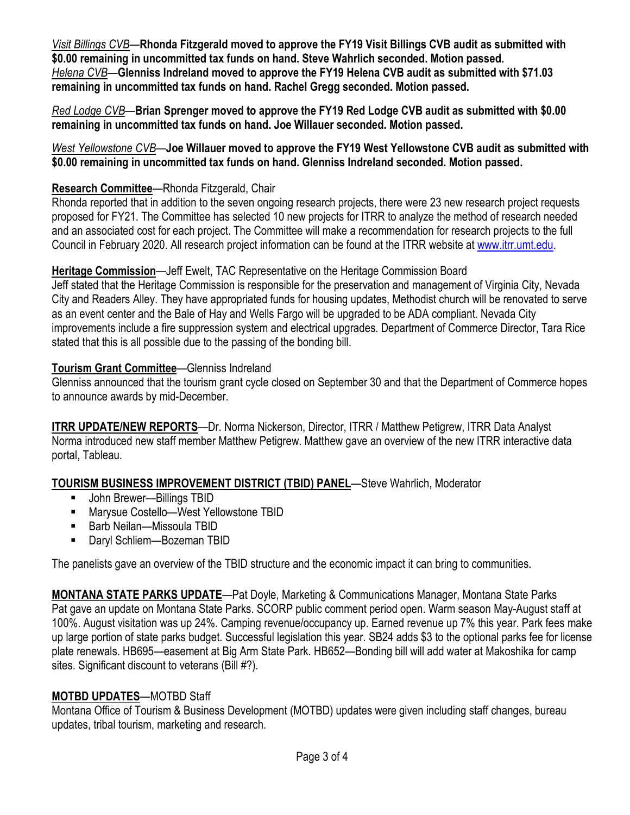*Visit Billings CVB*—**Rhonda Fitzgerald moved to approve the FY19 Visit Billings CVB audit as submitted with \$0.00 remaining in uncommitted tax funds on hand. Steve Wahrlich seconded. Motion passed.**  *Helena CVB*—**Glenniss Indreland moved to approve the FY19 Helena CVB audit as submitted with \$71.03 remaining in uncommitted tax funds on hand. Rachel Gregg seconded. Motion passed.** 

*Red Lodge CVB*—**Brian Sprenger moved to approve the FY19 Red Lodge CVB audit as submitted with \$0.00 remaining in uncommitted tax funds on hand. Joe Willauer seconded. Motion passed.** 

*West Yellowstone CVB*—**Joe Willauer moved to approve the FY19 West Yellowstone CVB audit as submitted with \$0.00 remaining in uncommitted tax funds on hand. Glenniss Indreland seconded. Motion passed.** 

## **Research Committee**—Rhonda Fitzgerald, Chair

Rhonda reported that in addition to the seven ongoing research projects, there were 23 new research project requests proposed for FY21. The Committee has selected 10 new projects for ITRR to analyze the method of research needed and an associated cost for each project. The Committee will make a recommendation for research projects to the full Council in February 2020. All research project information can be found at the ITRR website at [www.itrr.umt.edu.](http://www.itrr.umt.edu/)

## **Heritage Commission**—Jeff Ewelt, TAC Representative on the Heritage Commission Board

Jeff stated that the Heritage Commission is responsible for the preservation and management of Virginia City, Nevada City and Readers Alley. They have appropriated funds for housing updates, Methodist church will be renovated to serve as an event center and the Bale of Hay and Wells Fargo will be upgraded to be ADA compliant. Nevada City improvements include a fire suppression system and electrical upgrades. Department of Commerce Director, Tara Rice stated that this is all possible due to the passing of the bonding bill.

## **Tourism Grant Committee**—Glenniss Indreland

Glenniss announced that the tourism grant cycle closed on September 30 and that the Department of Commerce hopes to announce awards by mid-December.

**ITRR UPDATE/NEW REPORTS**—Dr. Norma Nickerson, Director, ITRR / Matthew Petigrew, ITRR Data Analyst Norma introduced new staff member Matthew Petigrew. Matthew gave an overview of the new ITRR interactive data portal, Tableau.

# **TOURISM BUSINESS IMPROVEMENT DISTRICT (TBID) PANEL**—Steve Wahrlich, Moderator

- John Brewer—Billings TBID
- Marysue Costello—West Yellowstone TBID
- Barb Neilan—Missoula TBID
- Daryl Schliem—Bozeman TBID

The panelists gave an overview of the TBID structure and the economic impact it can bring to communities.

**MONTANA STATE PARKS UPDATE**—Pat Doyle, Marketing & Communications Manager, Montana State Parks Pat gave an update on Montana State Parks. SCORP public comment period open. Warm season May-August staff at 100%. August visitation was up 24%. Camping revenue/occupancy up. Earned revenue up 7% this year. Park fees make up large portion of state parks budget. Successful legislation this year. SB24 adds \$3 to the optional parks fee for license plate renewals. HB695—easement at Big Arm State Park. HB652—Bonding bill will add water at Makoshika for camp sites. Significant discount to veterans (Bill #?).

# **MOTBD UPDATES**—MOTBD Staff

Montana Office of Tourism & Business Development (MOTBD) updates were given including staff changes, bureau updates, tribal tourism, marketing and research.